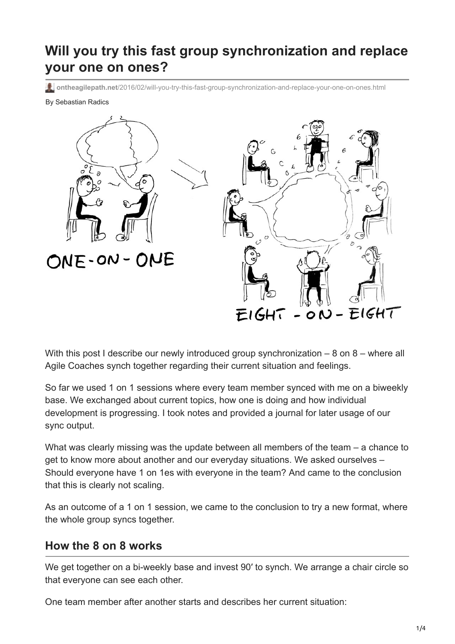# **Will you try this fast group synchronization and replace your one on ones?**

**ontheagilepath.net**[/2016/02/will-you-try-this-fast-group-synchronization-and-replace-your-one-on-ones.html](https://www.ontheagilepath.net/2016/02/will-you-try-this-fast-group-synchronization-and-replace-your-one-on-ones.html)

#### By Sebastian Radics



With this post I describe our newly introduced group synchronization – 8 on 8 – where all Agile Coaches synch together regarding their current situation and feelings.

So far we used 1 on 1 sessions where every team member synced with me on a biweekly base. We exchanged about current topics, how one is doing and how individual development is progressing. I took notes and provided a journal for later usage of our sync output.

What was clearly missing was the update between all members of the team – a chance to get to know more about another and our everyday situations. We asked ourselves – Should everyone have 1 on 1es with everyone in the team? And came to the conclusion that this is clearly not scaling.

As an outcome of a 1 on 1 session, we came to the conclusion to try a new format, where the whole group syncs together.

### **How the 8 on 8 works**

We get together on a bi-weekly base and invest 90′ to synch. We arrange a chair circle so that everyone can see each other.

One team member after another starts and describes her current situation: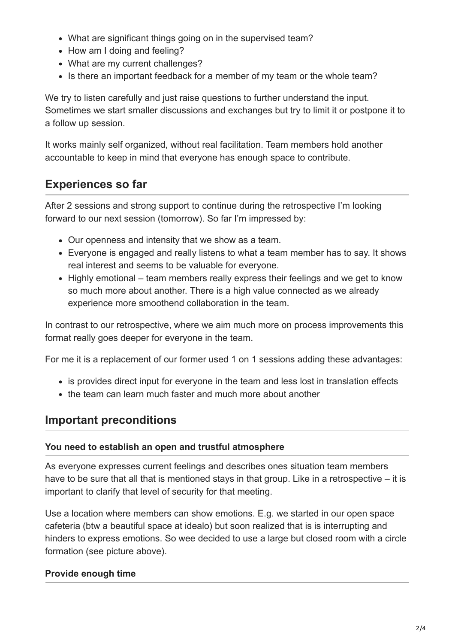- What are significant things going on in the supervised team?
- How am I doing and feeling?
- What are my current challenges?
- Is there an important feedback for a member of my team or the whole team?

We try to listen carefully and just raise questions to further understand the input. Sometimes we start smaller discussions and exchanges but try to limit it or postpone it to a follow up session.

It works mainly self organized, without real facilitation. Team members hold another accountable to keep in mind that everyone has enough space to contribute.

### **Experiences so far**

After 2 sessions and strong support to continue during the retrospective I'm looking forward to our next session (tomorrow). So far I'm impressed by:

- Our openness and intensity that we show as a team.
- Everyone is engaged and really listens to what a team member has to say. It shows real interest and seems to be valuable for everyone.
- Highly emotional team members really express their feelings and we get to know so much more about another. There is a high value connected as we already experience more smoothend collaboration in the team.

In contrast to our retrospective, where we aim much more on process improvements this format really goes deeper for everyone in the team.

For me it is a replacement of our former used 1 on 1 sessions adding these advantages:

- is provides direct input for everyone in the team and less lost in translation effects
- the team can learn much faster and much more about another

### **Important preconditions**

#### **You need to establish an open and trustful atmosphere**

As everyone expresses current feelings and describes ones situation team members have to be sure that all that is mentioned stays in that group. Like in a retrospective – it is important to clarify that level of security for that meeting.

Use a location where members can show emotions. E.g. we started in our open space cafeteria (btw a beautiful space at idealo) but soon realized that is is interrupting and hinders to express emotions. So wee decided to use a large but closed room with a circle formation (see picture above).

### **Provide enough time**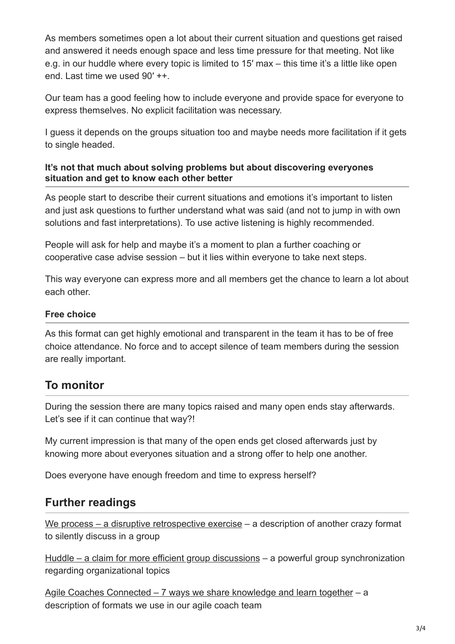As members sometimes open a lot about their current situation and questions get raised and answered it needs enough space and less time pressure for that meeting. Not like e.g. in our huddle where every topic is limited to 15′ max – this time it's a little like open end. Last time we used 90′ ++.

Our team has a good feeling how to include everyone and provide space for everyone to express themselves. No explicit facilitation was necessary.

I guess it depends on the groups situation too and maybe needs more facilitation if it gets to single headed.

#### **It's not that much about solving problems but about discovering everyones situation and get to know each other better**

As people start to describe their current situations and emotions it's important to listen and just ask questions to further understand what was said (and not to jump in with own solutions and fast interpretations). To use active listening is highly recommended.

People will ask for help and maybe it's a moment to plan a further coaching or cooperative case advise session – but it lies within everyone to take next steps.

This way everyone can express more and all members get the chance to learn a lot about each other.

### **Free choice**

As this format can get highly emotional and transparent in the team it has to be of free choice attendance. No force and to accept silence of team members during the session are really important.

## **To monitor**

During the session there are many topics raised and many open ends stay afterwards. Let's see if it can continue that way?!

My current impression is that many of the open ends get closed afterwards just by knowing more about everyones situation and a strong offer to help one another.

Does everyone have enough freedom and time to express herself?

## **Further readings**

[We process – a disruptive retrospective exercise](http://www.ontheagilepath.net/2015/06/will-you-try-the-disruptive-retrospective-exercise-we-process.html) – a description of another crazy format to silently discuss in a group

[Huddle – a claim for more efficient group discussions](http://www.ontheagilepath.net/2015/05/huddle-a-claim-for-more-efficient-group-discussions-among-agile-coachesscrummasters.html) – a powerful group synchronization regarding organizational topics

[Agile Coaches Connected – 7 ways we share knowledge and learn together](http://www.ontheagilepath.net/2015/10/agile-coaches-connected-7-ways-we-share-knowledge-and-learn-together.html) – a description of formats we use in our agile coach team